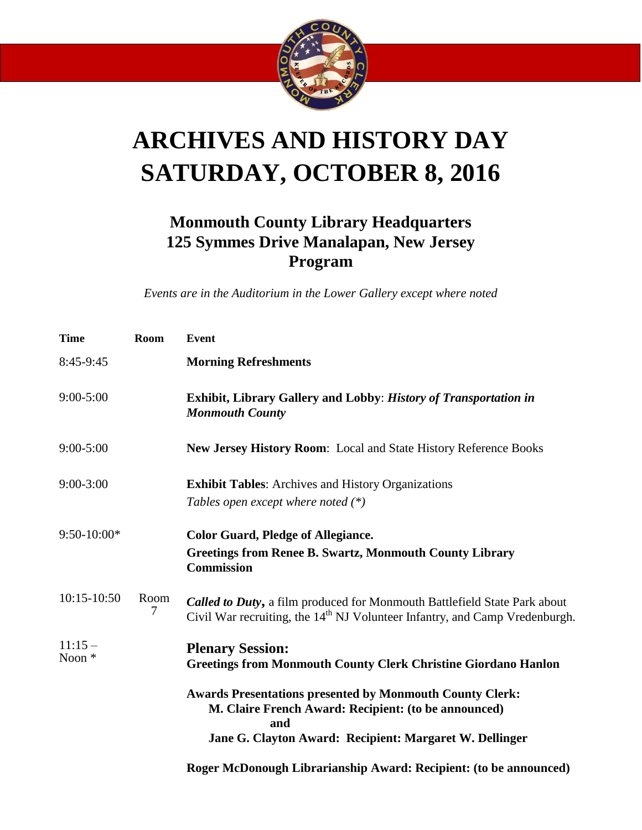

## **ARCHIVES AND HISTORY DAY SATURDAY, OCTOBER 8, 2016**

## **Monmouth County Library Headquarters 125 Symmes Drive Manalapan, New Jersey Program**

*Events are in the Auditorium in the Lower Gallery except where noted*

| <b>Time</b>                   | <b>Room</b> | Event                                                                                                                                                                                     |
|-------------------------------|-------------|-------------------------------------------------------------------------------------------------------------------------------------------------------------------------------------------|
| 8:45-9:45                     |             | <b>Morning Refreshments</b>                                                                                                                                                               |
| $9:00 - 5:00$                 |             | Exhibit, Library Gallery and Lobby: History of Transportation in<br><b>Monmouth County</b>                                                                                                |
| $9:00 - 5:00$                 |             | New Jersey History Room: Local and State History Reference Books                                                                                                                          |
| $9:00-3:00$                   |             | <b>Exhibit Tables:</b> Archives and History Organizations<br>Tables open except where noted $(*)$                                                                                         |
| $9:50-10:00*$                 |             | <b>Color Guard, Pledge of Allegiance.</b><br><b>Greetings from Renee B. Swartz, Monmouth County Library</b><br><b>Commission</b>                                                          |
| 10:15-10:50                   | Room<br>7   | <b>Called to Duty, a film produced for Monmouth Battlefield State Park about</b><br>Civil War recruiting, the 14 <sup>th</sup> NJ Volunteer Infantry, and Camp Vredenburgh.               |
| $11:15-$<br>Noon <sup>*</sup> |             | <b>Plenary Session:</b><br><b>Greetings from Monmouth County Clerk Christine Giordano Hanlon</b>                                                                                          |
|                               |             | <b>Awards Presentations presented by Monmouth County Clerk:</b><br>M. Claire French Award: Recipient: (to be announced)<br>and<br>Jane G. Clayton Award: Recipient: Margaret W. Dellinger |
|                               |             | Roger McDonough Librarianship Award: Recipient: (to be announced)                                                                                                                         |